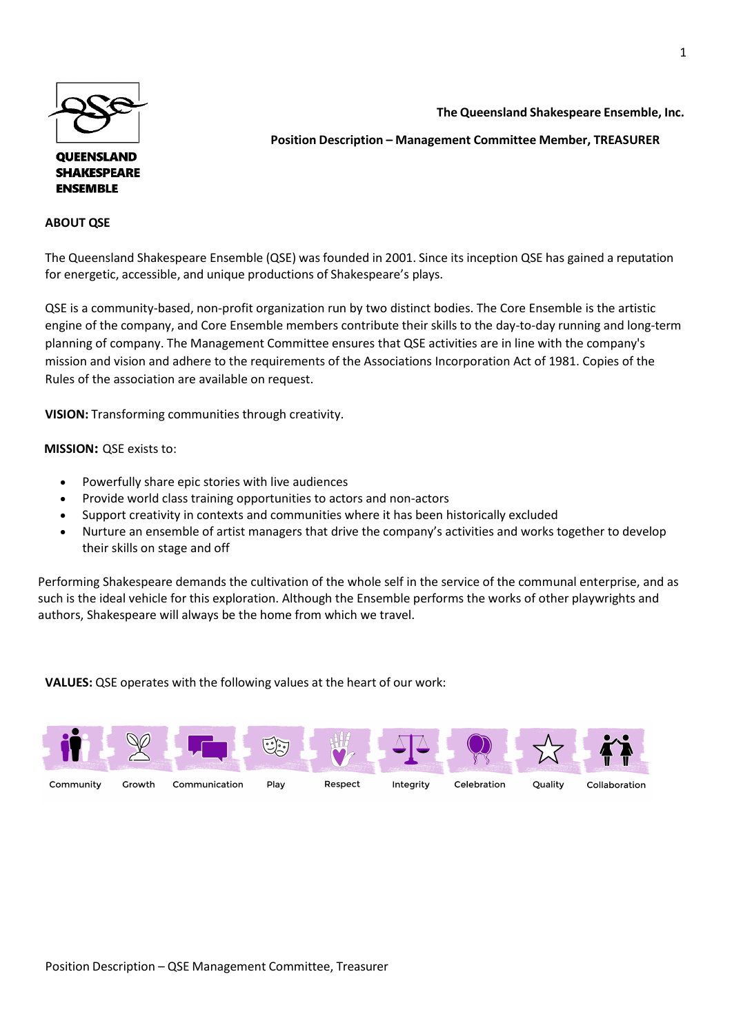

**QUEENSLAND SHAKESPEARE ENSEMBLE** 

## **ABOUT QSE**

**The Queensland Shakespeare Ensemble, Inc.** 

**Position Description – Management Committee Member, TREASURER**

The Queensland Shakespeare Ensemble (QSE) was founded in 2001. Since its inception QSE has gained a reputation for energetic, accessible, and unique productions of Shakespeare's plays.

QSE is a community-based, non-profit organization run by two distinct bodies. The Core Ensemble is the artistic engine of the company, and Core Ensemble members contribute their skills to the day-to-day running and long-term planning of company. The Management Committee ensures that QSE activities are in line with the company's mission and vision and adhere to the requirements of the Associations Incorporation Act of 1981. Copies of the Rules of the association are available on request.

**VISION:** Transforming communities through creativity.

 **MISSION:** QSE exists to:

- Powerfully share epic stories with live audiences
- Provide world class training opportunities to actors and non-actors
- Support creativity in contexts and communities where it has been historically excluded
- Nurture an ensemble of artist managers that drive the company's activities and works together to develop their skills on stage and off

Performing Shakespeare demands the cultivation of the whole self in the service of the communal enterprise, and as such is the ideal vehicle for this exploration. Although the Ensemble performs the works of other playwrights and authors, Shakespeare will always be the home from which we travel.

**VALUES:** QSE operates with the following values at the heart of our work: